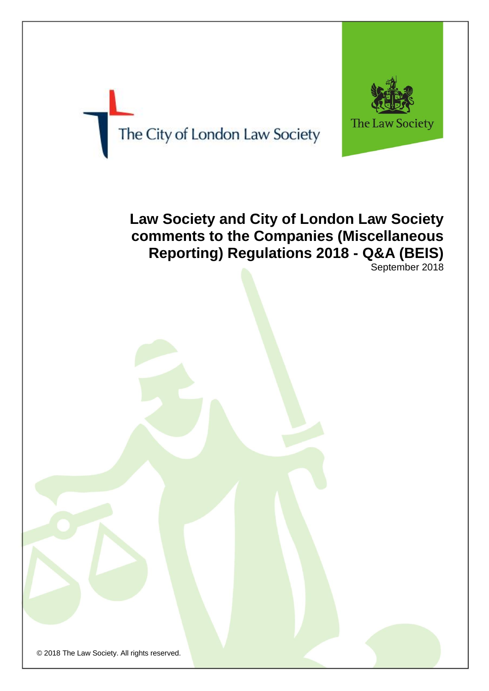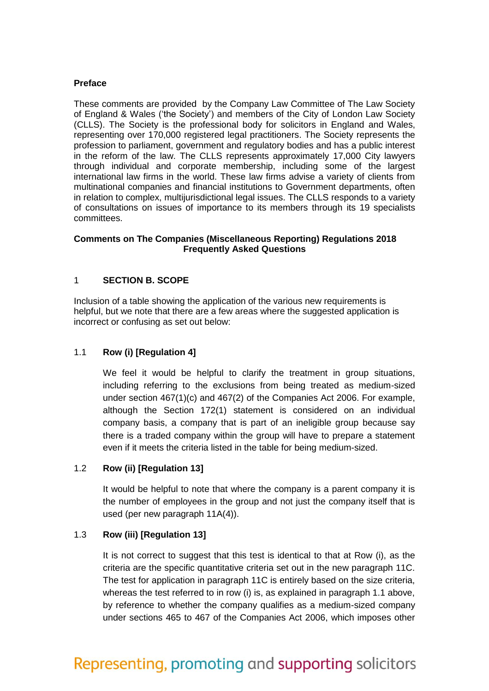#### **Preface**

These comments are provided by the Company Law Committee of The Law Society of England & Wales ('the Society') and members of the City of London Law Society (CLLS). The Society is the professional body for solicitors in England and Wales, representing over 170,000 registered legal practitioners. The Society represents the profession to parliament, government and regulatory bodies and has a public interest in the reform of the law. The CLLS represents approximately 17,000 City lawyers through individual and corporate membership, including some of the largest international law firms in the world. These law firms advise a variety of clients from multinational companies and financial institutions to Government departments, often in relation to complex, multijurisdictional legal issues. The CLLS responds to a variety of consultations on issues of importance to its members through its 19 specialists committees.

#### **Comments on The Companies (Miscellaneous Reporting) Regulations 2018 Frequently Asked Questions**

#### 1 **SECTION B. SCOPE**

Inclusion of a table showing the application of the various new requirements is helpful, but we note that there are a few areas where the suggested application is incorrect or confusing as set out below:

#### 1.1 **Row (i) [Regulation 4]**

We feel it would be helpful to clarify the treatment in group situations, including referring to the exclusions from being treated as medium-sized under section 467(1)(c) and 467(2) of the Companies Act 2006. For example, although the Section 172(1) statement is considered on an individual company basis, a company that is part of an ineligible group because say there is a traded company within the group will have to prepare a statement even if it meets the criteria listed in the table for being medium-sized.

#### 1.2 **Row (ii) [Regulation 13]**

It would be helpful to note that where the company is a parent company it is the number of employees in the group and not just the company itself that is used (per new paragraph 11A(4)).

#### 1.3 **Row (iii) [Regulation 13]**

It is not correct to suggest that this test is identical to that at Row (i), as the criteria are the specific quantitative criteria set out in the new paragraph 11C. The test for application in paragraph 11C is entirely based on the size criteria, whereas the test referred to in row (i) is, as explained in paragraph 1.1 above, by reference to whether the company qualifies as a medium-sized company under sections 465 to 467 of the Companies Act 2006, which imposes other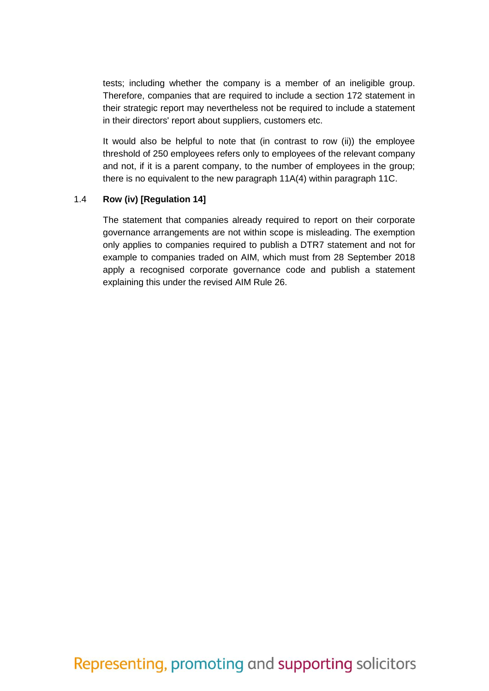tests; including whether the company is a member of an ineligible group. Therefore, companies that are required to include a section 172 statement in their strategic report may nevertheless not be required to include a statement in their directors' report about suppliers, customers etc.

It would also be helpful to note that (in contrast to row (ii)) the employee threshold of 250 employees refers only to employees of the relevant company and not, if it is a parent company, to the number of employees in the group; there is no equivalent to the new paragraph 11A(4) within paragraph 11C.

#### 1.4 **Row (iv) [Regulation 14]**

The statement that companies already required to report on their corporate governance arrangements are not within scope is misleading. The exemption only applies to companies required to publish a DTR7 statement and not for example to companies traded on AIM, which must from 28 September 2018 apply a recognised corporate governance code and publish a statement explaining this under the revised AIM Rule 26.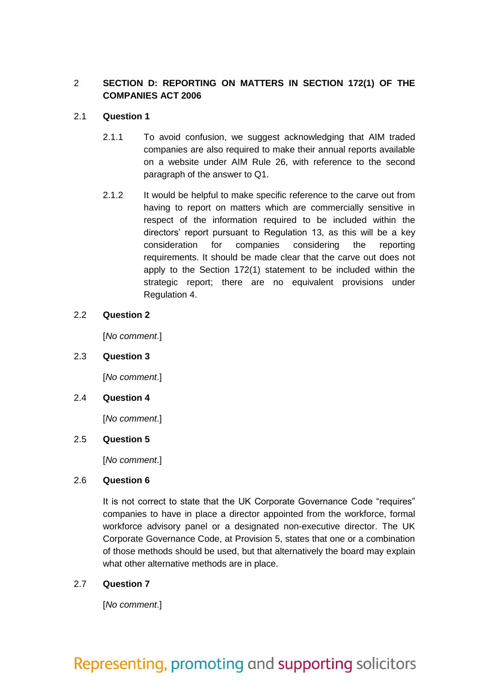## 2 **SECTION D: REPORTING ON MATTERS IN SECTION 172(1) OF THE COMPANIES ACT 2006**

## 2.1 **Question 1**

- 2.1.1 To avoid confusion, we suggest acknowledging that AIM traded companies are also required to make their annual reports available on a website under AIM Rule 26, with reference to the second paragraph of the answer to Q1.
- 2.1.2 It would be helpful to make specific reference to the carve out from having to report on matters which are commercially sensitive in respect of the information required to be included within the directors' report pursuant to Regulation 13, as this will be a key consideration for companies considering the reporting requirements. It should be made clear that the carve out does not apply to the Section 172(1) statement to be included within the strategic report; there are no equivalent provisions under Regulation 4.

### 2.2 **Question 2**

[*No comment*.]

#### 2.3 **Question 3**

[*No comment*.]

#### 2.4 **Question 4**

[*No comment*.]

#### 2.5 **Question 5**

[*No comment*.]

## 2.6 **Question 6**

It is not correct to state that the UK Corporate Governance Code "requires" companies to have in place a director appointed from the workforce, formal workforce advisory panel or a designated non-executive director. The UK Corporate Governance Code, at Provision 5, states that one or a combination of those methods should be used, but that alternatively the board may explain what other alternative methods are in place.

## 2.7 **Question 7**

[*No comment*.]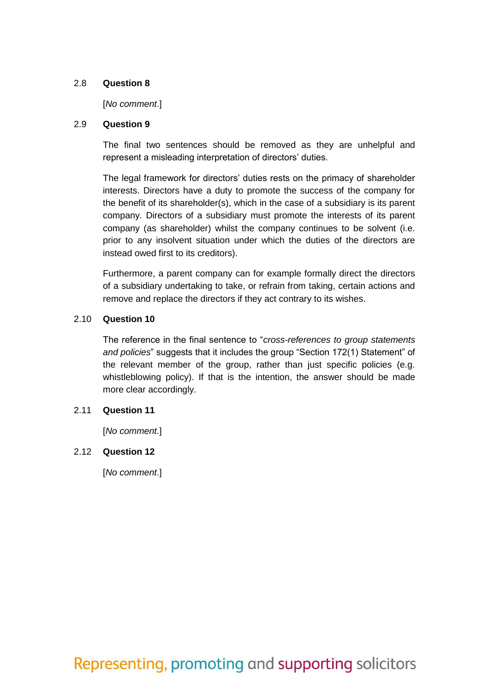#### 2.8 **Question 8**

#### [*No comment*.]

#### 2.9 **Question 9**

The final two sentences should be removed as they are unhelpful and represent a misleading interpretation of directors' duties.

The legal framework for directors' duties rests on the primacy of shareholder interests. Directors have a duty to promote the success of the company for the benefit of its shareholder(s), which in the case of a subsidiary is its parent company. Directors of a subsidiary must promote the interests of its parent company (as shareholder) whilst the company continues to be solvent (i.e. prior to any insolvent situation under which the duties of the directors are instead owed first to its creditors).

Furthermore, a parent company can for example formally direct the directors of a subsidiary undertaking to take, or refrain from taking, certain actions and remove and replace the directors if they act contrary to its wishes.

### 2.10 **Question 10**

The reference in the final sentence to "*cross-references to group statements and policies*" suggests that it includes the group "Section 172(1) Statement" of the relevant member of the group, rather than just specific policies (e.g. whistleblowing policy). If that is the intention, the answer should be made more clear accordingly.

## 2.11 **Question 11**

[*No comment*.]

## 2.12 **Question 12**

[*No comment*.]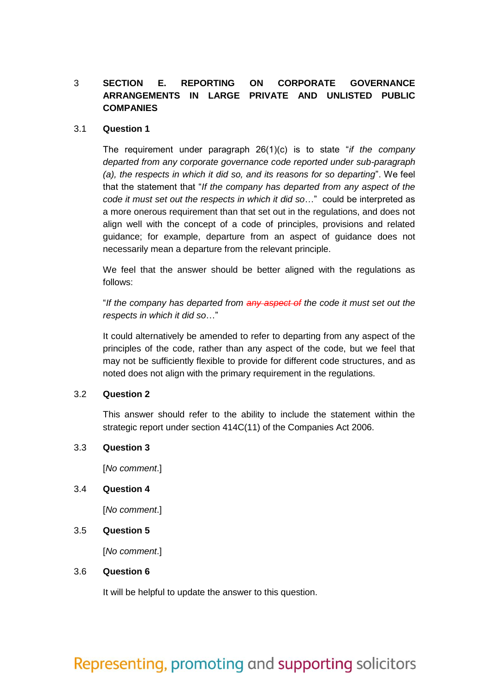## 3 **SECTION E. REPORTING ON CORPORATE GOVERNANCE ARRANGEMENTS IN LARGE PRIVATE AND UNLISTED PUBLIC COMPANIES**

#### 3.1 **Question 1**

The requirement under paragraph 26(1)(c) is to state "*if the company departed from any corporate governance code reported under sub-paragraph (a), the respects in which it did so, and its reasons for so departing*". We feel that the statement that "*If the company has departed from any aspect of the code it must set out the respects in which it did so*…" could be interpreted as a more onerous requirement than that set out in the regulations, and does not align well with the concept of a code of principles, provisions and related guidance; for example, departure from an aspect of guidance does not necessarily mean a departure from the relevant principle.

We feel that the answer should be better aligned with the regulations as follows:

"*If the company has departed from any aspect of the code it must set out the respects in which it did so*…"

It could alternatively be amended to refer to departing from any aspect of the principles of the code, rather than any aspect of the code, but we feel that may not be sufficiently flexible to provide for different code structures, and as noted does not align with the primary requirement in the regulations.

#### 3.2 **Question 2**

This answer should refer to the ability to include the statement within the strategic report under section 414C(11) of the Companies Act 2006.

#### 3.3 **Question 3**

[*No comment*.]

#### 3.4 **Question 4**

[*No comment*.]

#### 3.5 **Question 5**

[*No comment*.]

#### 3.6 **Question 6**

It will be helpful to update the answer to this question.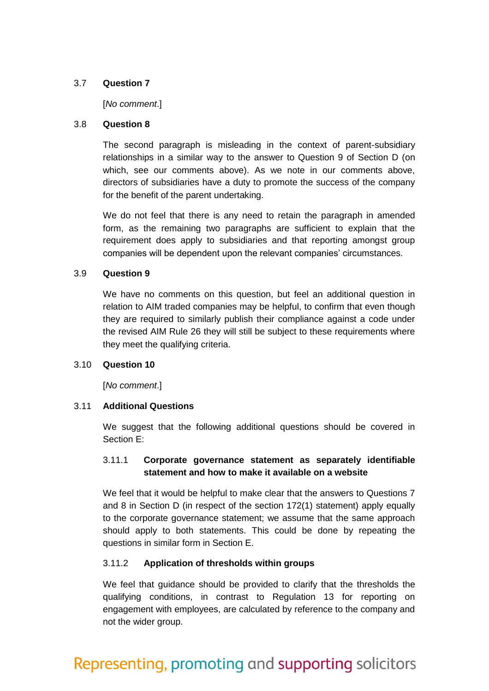### 3.7 **Question 7**

#### [*No comment*.]

#### 3.8 **Question 8**

The second paragraph is misleading in the context of parent-subsidiary relationships in a similar way to the answer to Question 9 of Section D (on which, see our comments above). As we note in our comments above, directors of subsidiaries have a duty to promote the success of the company for the benefit of the parent undertaking.

We do not feel that there is any need to retain the paragraph in amended form, as the remaining two paragraphs are sufficient to explain that the requirement does apply to subsidiaries and that reporting amongst group companies will be dependent upon the relevant companies' circumstances.

### 3.9 **Question 9**

We have no comments on this question, but feel an additional question in relation to AIM traded companies may be helpful, to confirm that even though they are required to similarly publish their compliance against a code under the revised AIM Rule 26 they will still be subject to these requirements where they meet the qualifying criteria.

## 3.10 **Question 10**

[*No comment*.]

## 3.11 **Additional Questions**

We suggest that the following additional questions should be covered in Section E:

## 3.11.1 **Corporate governance statement as separately identifiable statement and how to make it available on a website**

We feel that it would be helpful to make clear that the answers to Questions 7 and 8 in Section D (in respect of the section 172(1) statement) apply equally to the corporate governance statement; we assume that the same approach should apply to both statements. This could be done by repeating the questions in similar form in Section E.

## 3.11.2 **Application of thresholds within groups**

We feel that guidance should be provided to clarify that the thresholds the qualifying conditions, in contrast to Regulation 13 for reporting on engagement with employees, are calculated by reference to the company and not the wider group.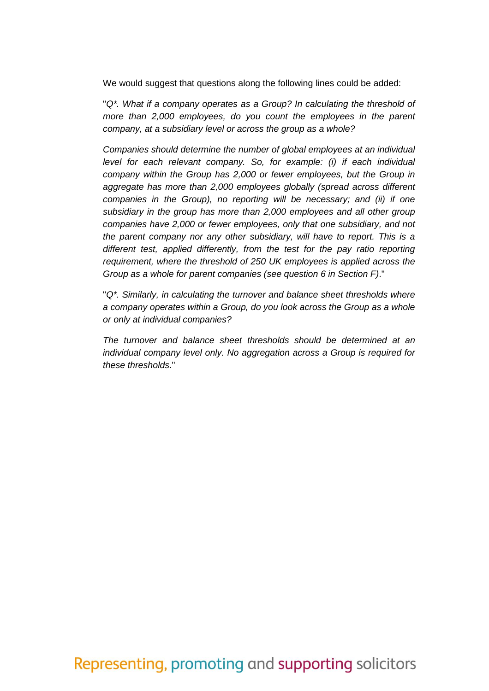We would suggest that questions along the following lines could be added:

"*Q\*. What if a company operates as a Group? In calculating the threshold of more than 2,000 employees, do you count the employees in the parent company, at a subsidiary level or across the group as a whole?*

*Companies should determine the number of global employees at an individual level for each relevant company. So, for example: (i) if each individual company within the Group has 2,000 or fewer employees, but the Group in aggregate has more than 2,000 employees globally (spread across different companies in the Group), no reporting will be necessary; and (ii) if one subsidiary in the group has more than 2,000 employees and all other group companies have 2,000 or fewer employees, only that one subsidiary, and not the parent company nor any other subsidiary, will have to report. This is a different test, applied differently, from the test for the pay ratio reporting requirement, where the threshold of 250 UK employees is applied across the Group as a whole for parent companies (see question 6 in Section F)*."

"*Q\*. Similarly, in calculating the turnover and balance sheet thresholds where a company operates within a Group, do you look across the Group as a whole or only at individual companies?*

*The turnover and balance sheet thresholds should be determined at an individual company level only. No aggregation across a Group is required for these thresholds*."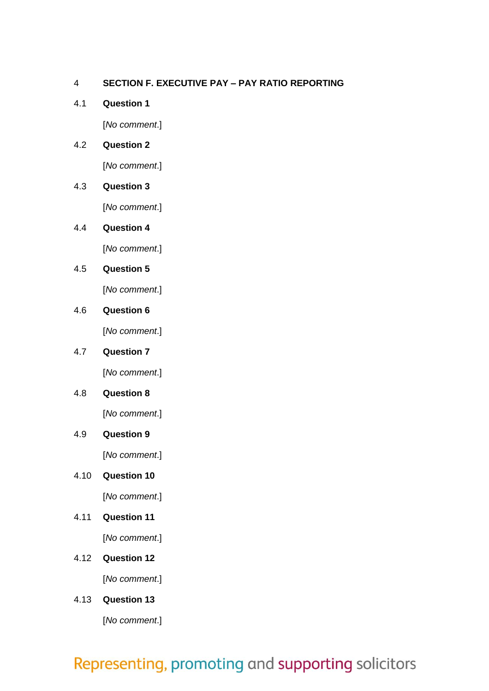## 4 **SECTION F. EXECUTIVE PAY – PAY RATIO REPORTING**

4.1 **Question 1**

[*No comment*.]

## 4.2 **Question 2**

[*No comment*.]

## 4.3 **Question 3**

[*No comment*.]

## 4.4 **Question 4**

[*No comment*.]

## 4.5 **Question 5**

[*No comment*.]

## 4.6 **Question 6**

[*No comment*.]

## 4.7 **Question 7**

[*No comment*.]

## 4.8 **Question 8**

[*No comment*.]

## 4.9 **Question 9**

[*No comment*.]

## 4.10 **Question 10**

[*No comment*.]

## 4.11 **Question 11**

[*No comment*.]

- 4.12 **Question 12** [*No comment*.]
- 4.13 **Question 13**

[*No comment*.]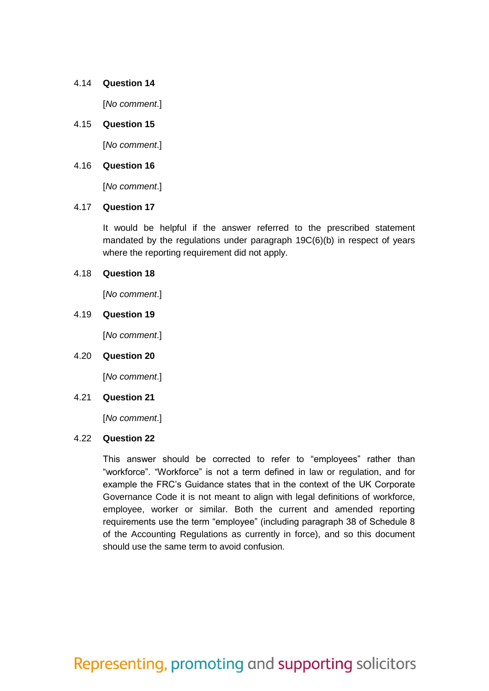#### 4.14 **Question 14**

[*No comment*.]

#### 4.15 **Question 15**

[*No comment*.]

#### 4.16 **Question 16**

[*No comment*.]

### 4.17 **Question 17**

It would be helpful if the answer referred to the prescribed statement mandated by the regulations under paragraph 19C(6)(b) in respect of years where the reporting requirement did not apply.

#### 4.18 **Question 18**

[*No comment*.]

### 4.19 **Question 19**

[*No comment*.]

#### 4.20 **Question 20**

[*No comment*.]

#### 4.21 **Question 21**

[*No comment*.]

#### 4.22 **Question 22**

This answer should be corrected to refer to "employees" rather than "workforce". "Workforce" is not a term defined in law or regulation, and for example the FRC's Guidance states that in the context of the UK Corporate Governance Code it is not meant to align with legal definitions of workforce, employee, worker or similar. Both the current and amended reporting requirements use the term "employee" (including paragraph 38 of Schedule 8 of the Accounting Regulations as currently in force), and so this document should use the same term to avoid confusion.